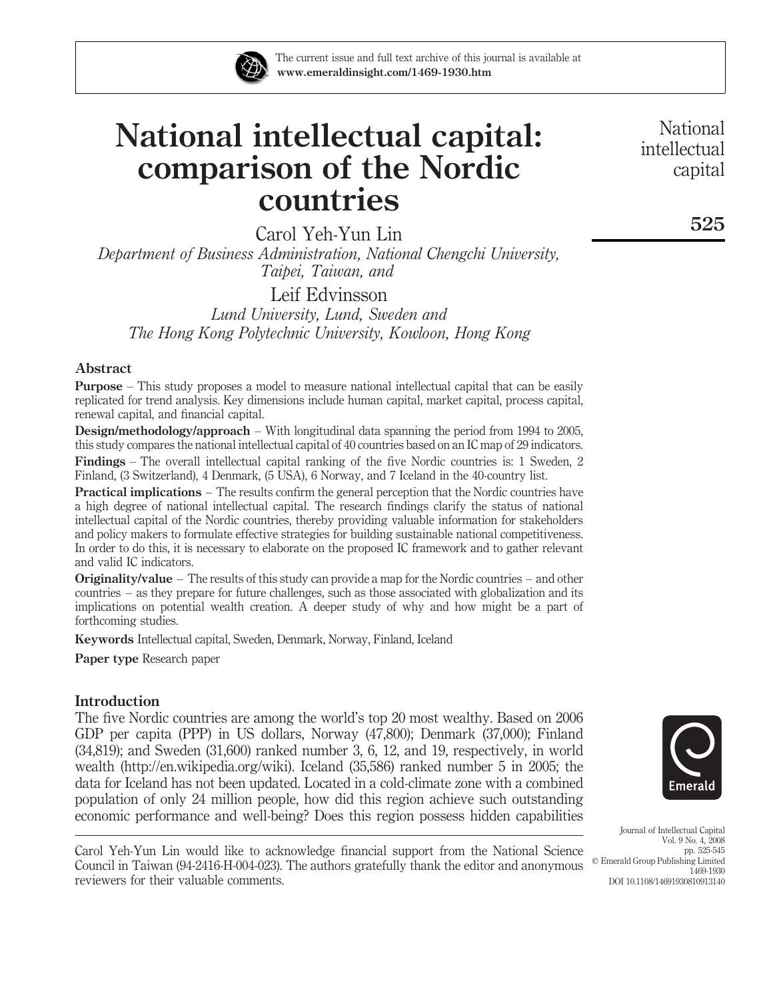

The current issue and full text archive of this journal is available at www.emeraldinsight.com/1469-1930.htm

# National intellectual capital: comparison of the Nordic countries

Carol Yeh-Yun Lin

Department of Business Administration, National Chengchi University, Taipei, Taiwan, and

Leif Edvinsson

Lund University, Lund, Sweden and The Hong Kong Polytechnic University, Kowloon, Hong Kong

# Abstract

Purpose – This study proposes a model to measure national intellectual capital that can be easily replicated for trend analysis. Key dimensions include human capital, market capital, process capital, renewal capital, and financial capital.

Design/methodology/approach – With longitudinal data spanning the period from 1994 to 2005, this study compares the national intellectual capital of 40 countries based on an IC map of 29 indicators. Findings – The overall intellectual capital ranking of the five Nordic countries is: 1 Sweden, 2 Finland, (3 Switzerland), 4 Denmark, (5 USA), 6 Norway, and 7 Iceland in the 40-country list.

Practical implications – The results confirm the general perception that the Nordic countries have a high degree of national intellectual capital. The research findings clarify the status of national intellectual capital of the Nordic countries, thereby providing valuable information for stakeholders and policy makers to formulate effective strategies for building sustainable national competitiveness. In order to do this, it is necessary to elaborate on the proposed IC framework and to gather relevant and valid IC indicators.

**Originality/value** – The results of this study can provide a map for the Nordic countries – and other countries – as they prepare for future challenges, such as those associated with globalization and its implications on potential wealth creation. A deeper study of why and how might be a part of forthcoming studies.

Keywords Intellectual capital, Sweden, Denmark, Norway, Finland, Iceland

Paper type Research paper

# Introduction

The five Nordic countries are among the world's top 20 most wealthy. Based on 2006 GDP per capita (PPP) in US dollars, Norway (47,800); Denmark (37,000); Finland (34,819); and Sweden (31,600) ranked number 3, 6, 12, and 19, respectively, in world wealth (http://en.wikipedia.org/wiki). Iceland (35,586) ranked number 5 in 2005; the data for Iceland has not been updated. Located in a cold-climate zone with a combined population of only 24 million people, how did this region achieve such outstanding economic performance and well-being? Does this region possess hidden capabilities



Journal of Intellectual Capital Vol. 9 No. 4, 2008 pp. 525-545  $©$  Emerald Group Publishing Limited 1469-1930 DOI 10.1108/14691930810913140

Carol Yeh-Yun Lin would like to acknowledge financial support from the National Science Council in Taiwan (94-2416-H-004-023). The authors gratefully thank the editor and anonymous reviewers for their valuable comments.

National intellectual capital

525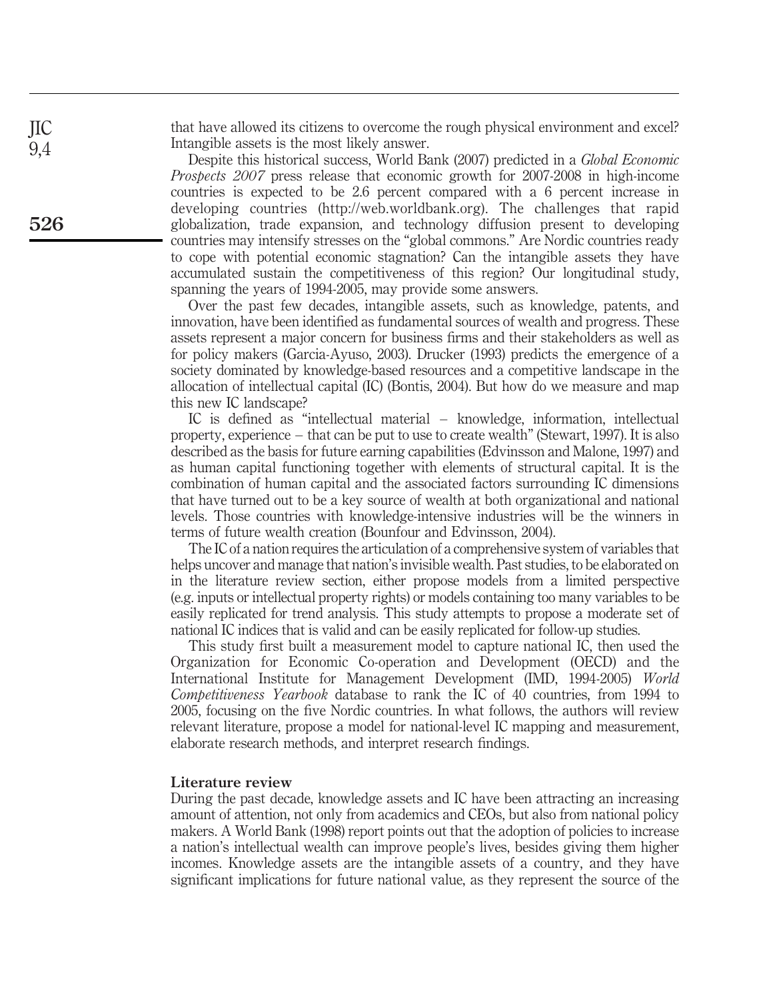that have allowed its citizens to overcome the rough physical environment and excel? Intangible assets is the most likely answer.

Despite this historical success, World Bank (2007) predicted in a Global Economic Prospects 2007 press release that economic growth for 2007-2008 in high-income countries is expected to be 2.6 percent compared with a 6 percent increase in developing countries (http://web.worldbank.org). The challenges that rapid globalization, trade expansion, and technology diffusion present to developing countries may intensify stresses on the "global commons." Are Nordic countries ready to cope with potential economic stagnation? Can the intangible assets they have accumulated sustain the competitiveness of this region? Our longitudinal study, spanning the years of 1994-2005, may provide some answers.

Over the past few decades, intangible assets, such as knowledge, patents, and innovation, have been identified as fundamental sources of wealth and progress. These assets represent a major concern for business firms and their stakeholders as well as for policy makers (Garcia-Ayuso, 2003). Drucker (1993) predicts the emergence of a society dominated by knowledge-based resources and a competitive landscape in the allocation of intellectual capital (IC) (Bontis, 2004). But how do we measure and map this new IC landscape?

IC is defined as "intellectual material – knowledge, information, intellectual property, experience – that can be put to use to create wealth" (Stewart, 1997). It is also described as the basis for future earning capabilities (Edvinsson and Malone, 1997) and as human capital functioning together with elements of structural capital. It is the combination of human capital and the associated factors surrounding IC dimensions that have turned out to be a key source of wealth at both organizational and national levels. Those countries with knowledge-intensive industries will be the winners in terms of future wealth creation (Bounfour and Edvinsson, 2004).

The IC of a nation requires the articulation of a comprehensive system of variables that helps uncover and manage that nation's invisible wealth. Past studies, to be elaborated on in the literature review section, either propose models from a limited perspective (e.g. inputs or intellectual property rights) or models containing too many variables to be easily replicated for trend analysis. This study attempts to propose a moderate set of national IC indices that is valid and can be easily replicated for follow-up studies.

This study first built a measurement model to capture national IC, then used the Organization for Economic Co-operation and Development (OECD) and the International Institute for Management Development (IMD, 1994-2005) World Competitiveness Yearbook database to rank the IC of 40 countries, from 1994 to 2005, focusing on the five Nordic countries. In what follows, the authors will review relevant literature, propose a model for national-level IC mapping and measurement, elaborate research methods, and interpret research findings.

#### Literature review

During the past decade, knowledge assets and IC have been attracting an increasing amount of attention, not only from academics and CEOs, but also from national policy makers. A World Bank (1998) report points out that the adoption of policies to increase a nation's intellectual wealth can improve people's lives, besides giving them higher incomes. Knowledge assets are the intangible assets of a country, and they have significant implications for future national value, as they represent the source of the

JIC 9,4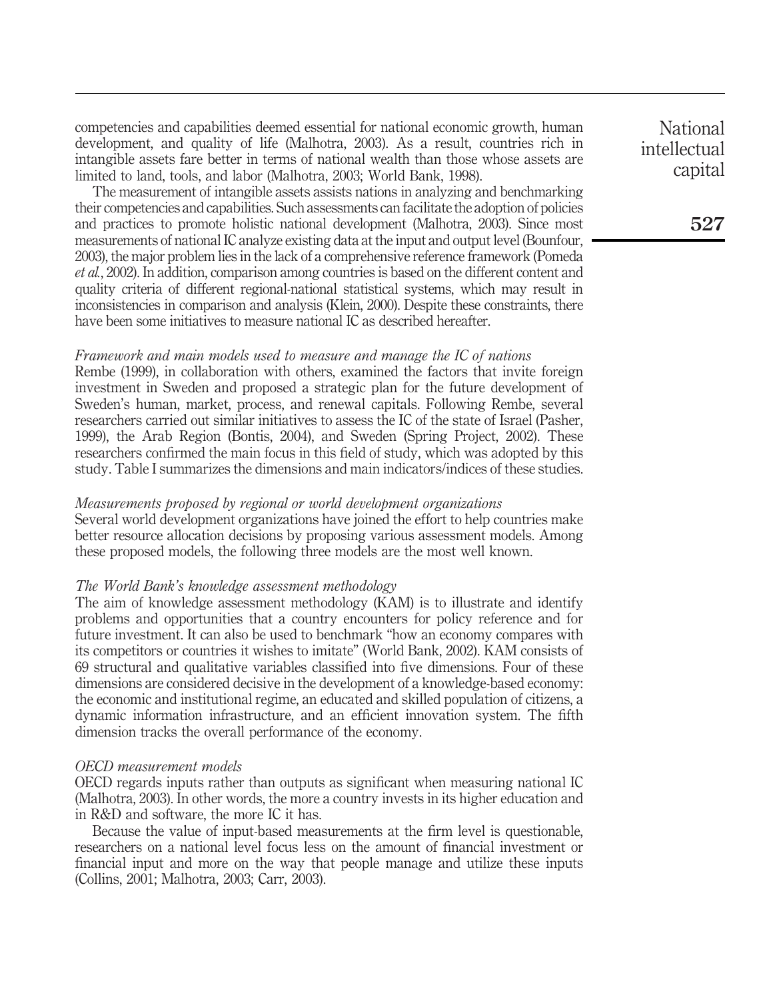competencies and capabilities deemed essential for national economic growth, human development, and quality of life (Malhotra, 2003). As a result, countries rich in intangible assets fare better in terms of national wealth than those whose assets are limited to land, tools, and labor (Malhotra, 2003; World Bank, 1998).

The measurement of intangible assets assists nations in analyzing and benchmarking their competencies and capabilities. Such assessments can facilitate the adoption of policies and practices to promote holistic national development (Malhotra, 2003). Since most measurements of national IC analyze existing data at the input and output level (Bounfour, 2003), the major problem lies in the lack of a comprehensive reference framework (Pomeda et al., 2002). In addition, comparison among countries is based on the different content and quality criteria of different regional-national statistical systems, which may result in inconsistencies in comparison and analysis (Klein, 2000). Despite these constraints, there have been some initiatives to measure national IC as described hereafter.

## Framework and main models used to measure and manage the IC of nations

Rembe (1999), in collaboration with others, examined the factors that invite foreign investment in Sweden and proposed a strategic plan for the future development of Sweden's human, market, process, and renewal capitals. Following Rembe, several researchers carried out similar initiatives to assess the IC of the state of Israel (Pasher, 1999), the Arab Region (Bontis, 2004), and Sweden (Spring Project, 2002). These researchers confirmed the main focus in this field of study, which was adopted by this study. Table I summarizes the dimensions and main indicators/indices of these studies.

### Measurements proposed by regional or world development organizations

Several world development organizations have joined the effort to help countries make better resource allocation decisions by proposing various assessment models. Among these proposed models, the following three models are the most well known.

#### The World Bank's knowledge assessment methodology

The aim of knowledge assessment methodology (KAM) is to illustrate and identify problems and opportunities that a country encounters for policy reference and for future investment. It can also be used to benchmark "how an economy compares with its competitors or countries it wishes to imitate" (World Bank, 2002). KAM consists of 69 structural and qualitative variables classified into five dimensions. Four of these dimensions are considered decisive in the development of a knowledge-based economy: the economic and institutional regime, an educated and skilled population of citizens, a dynamic information infrastructure, and an efficient innovation system. The fifth dimension tracks the overall performance of the economy.

#### OECD measurement models

OECD regards inputs rather than outputs as significant when measuring national IC (Malhotra, 2003). In other words, the more a country invests in its higher education and in R&D and software, the more IC it has.

Because the value of input-based measurements at the firm level is questionable, researchers on a national level focus less on the amount of financial investment or financial input and more on the way that people manage and utilize these inputs (Collins, 2001; Malhotra, 2003; Carr, 2003).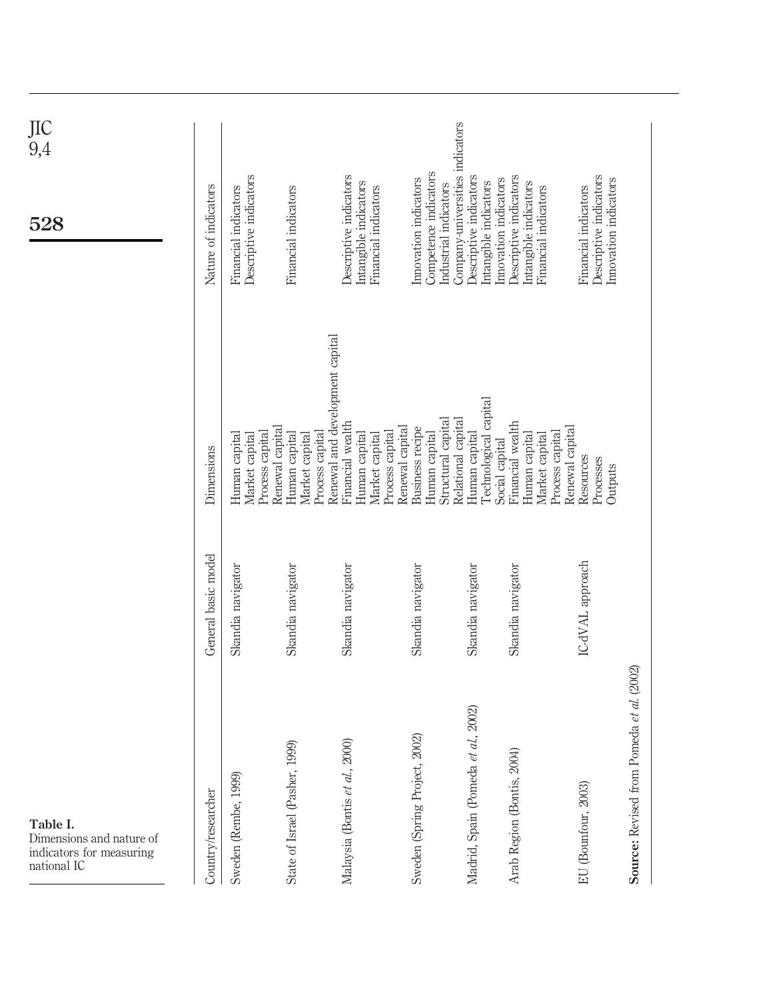| Table I.<br>Dimensions and nature of<br>indicators for measuring<br>national IC |                     |                                                                                           | JIC<br>9,4<br>528                                                                                          |
|---------------------------------------------------------------------------------|---------------------|-------------------------------------------------------------------------------------------|------------------------------------------------------------------------------------------------------------|
| Country/researcher                                                              | General basic model | Dimensions                                                                                | Nature of indicators                                                                                       |
| Sweden (Rembe, 1999)                                                            | Skandia navigator   | Renewal capital<br>Process capital<br>Human capital<br>Market capital                     | Descriptive indicators<br>Financial indicators                                                             |
| 1999)<br>State of Israel (Pasher,                                               | Skandia navigator   | Renewal and development capital<br>Process capital<br>Human capital<br>Market capital     | Financial indicators                                                                                       |
| 2000)<br>Malaysia (Bontis et al.,                                               | Skandia navigator   | Financial wealth<br>Renewal capital<br>Process capital<br>Human capital<br>Market capital | Descriptive indicators<br>Intangible indicators<br>Financial indicators                                    |
| 2002)<br>Sweden (Spring Project,                                                | Skandia navigator   | Structural capital<br>Relational capital<br>Business recipe<br>Human capital              | Company-universities indicators<br>Competence indicators<br>Innovation indicators<br>Industrial indicators |
| et al., 2002)<br>Madrid, Spain (Pomeda                                          | Skandia navigator   | Technological capital<br>Human capital<br>Social capital                                  | Descriptive indicators<br>Innovation indicators<br>Intangible indicators                                   |
| Arab Region (Bontis, 2004)                                                      | Skandia navigator   | Financial wealth<br>Renewal capital<br>Process capital<br>Human capital<br>Market capital | Descriptive indicators<br>Intangible indicators<br>Financial indicators                                    |
| EU (Bounfour, 2003)                                                             | IC-dVAL approach    | Resources<br>Processes<br>Outputs                                                         | Descriptive indicators<br>Innovation indicators<br>Financial indicators                                    |
| Pomeda et al. (2002)<br>Source: Revised from                                    |                     |                                                                                           |                                                                                                            |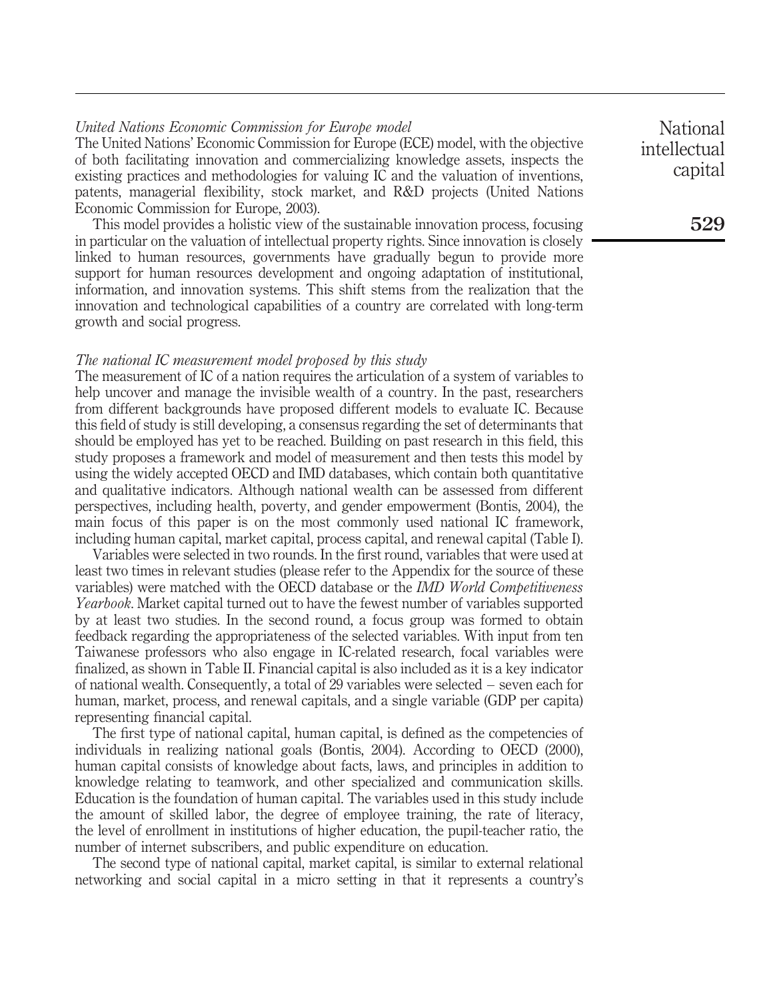### United Nations Economic Commission for Europe model

The United Nations' Economic Commission for Europe (ECE) model, with the objective of both facilitating innovation and commercializing knowledge assets, inspects the existing practices and methodologies for valuing IC and the valuation of inventions, patents, managerial flexibility, stock market, and R&D projects (United Nations Economic Commission for Europe, 2003).

This model provides a holistic view of the sustainable innovation process, focusing in particular on the valuation of intellectual property rights. Since innovation is closely linked to human resources, governments have gradually begun to provide more support for human resources development and ongoing adaptation of institutional, information, and innovation systems. This shift stems from the realization that the innovation and technological capabilities of a country are correlated with long-term growth and social progress.

#### The national IC measurement model proposed by this study

The measurement of IC of a nation requires the articulation of a system of variables to help uncover and manage the invisible wealth of a country. In the past, researchers from different backgrounds have proposed different models to evaluate IC. Because this field of study is still developing, a consensus regarding the set of determinants that should be employed has yet to be reached. Building on past research in this field, this study proposes a framework and model of measurement and then tests this model by using the widely accepted OECD and IMD databases, which contain both quantitative and qualitative indicators. Although national wealth can be assessed from different perspectives, including health, poverty, and gender empowerment (Bontis, 2004), the main focus of this paper is on the most commonly used national IC framework, including human capital, market capital, process capital, and renewal capital (Table I).

Variables were selected in two rounds. In the first round, variables that were used at least two times in relevant studies (please refer to the Appendix for the source of these variables) were matched with the OECD database or the IMD World Competitiveness Yearbook. Market capital turned out to have the fewest number of variables supported by at least two studies. In the second round, a focus group was formed to obtain feedback regarding the appropriateness of the selected variables. With input from ten Taiwanese professors who also engage in IC-related research, focal variables were finalized, as shown in Table II. Financial capital is also included as it is a key indicator of national wealth. Consequently, a total of 29 variables were selected – seven each for human, market, process, and renewal capitals, and a single variable (GDP per capita) representing financial capital.

The first type of national capital, human capital, is defined as the competencies of individuals in realizing national goals (Bontis, 2004). According to OECD (2000), human capital consists of knowledge about facts, laws, and principles in addition to knowledge relating to teamwork, and other specialized and communication skills. Education is the foundation of human capital. The variables used in this study include the amount of skilled labor, the degree of employee training, the rate of literacy, the level of enrollment in institutions of higher education, the pupil-teacher ratio, the number of internet subscribers, and public expenditure on education.

The second type of national capital, market capital, is similar to external relational networking and social capital in a micro setting in that it represents a country's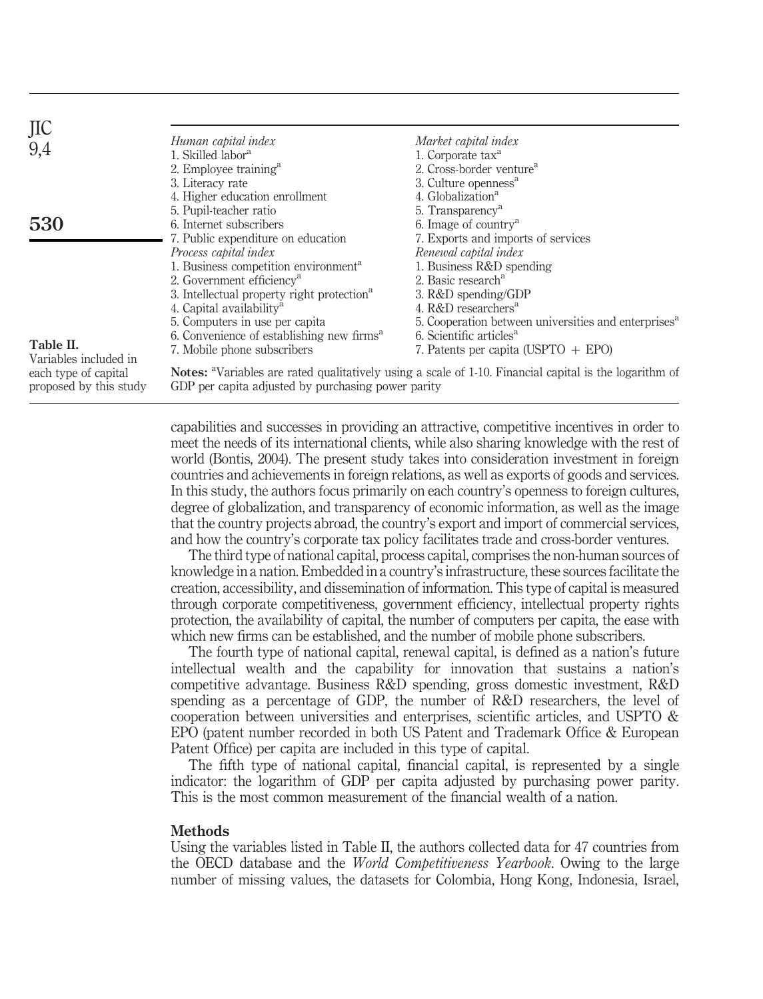| $JIC$<br>$9,4$         |                                                        |                                                                                                                           |  |  |  |  |  |
|------------------------|--------------------------------------------------------|---------------------------------------------------------------------------------------------------------------------------|--|--|--|--|--|
|                        | Human capital index                                    | Market capital index                                                                                                      |  |  |  |  |  |
|                        | 1. Skilled labor <sup>a</sup>                          | 1. Corporate $tax^a$                                                                                                      |  |  |  |  |  |
|                        | 2. Employee training <sup>a</sup>                      | 2. Cross-border venture <sup>a</sup>                                                                                      |  |  |  |  |  |
|                        | 3. Literacy rate                                       | 3. Culture openness <sup>a</sup>                                                                                          |  |  |  |  |  |
|                        | 4. Higher education enrollment                         | 4. Globalization <sup>a</sup>                                                                                             |  |  |  |  |  |
|                        | 5. Pupil-teacher ratio                                 | 5. Transparency <sup>a</sup>                                                                                              |  |  |  |  |  |
| 530                    | 6. Internet subscribers                                | 6. Image of country <sup>a</sup>                                                                                          |  |  |  |  |  |
|                        | 7. Public expenditure on education                     | 7. Exports and imports of services                                                                                        |  |  |  |  |  |
|                        | Process capital index                                  | Renewal capital index                                                                                                     |  |  |  |  |  |
|                        | 1. Business competition environment <sup>a</sup>       | 1. Business R&D spending                                                                                                  |  |  |  |  |  |
|                        | 2. Government efficiency <sup>a</sup>                  | 2. Basic research <sup>a</sup>                                                                                            |  |  |  |  |  |
|                        | 3. Intellectual property right protection <sup>a</sup> | 3. R&D spending/GDP                                                                                                       |  |  |  |  |  |
|                        | 4. Capital availability <sup>a</sup>                   | 4. R&D researchers <sup>a</sup>                                                                                           |  |  |  |  |  |
|                        | 5. Computers in use per capita                         | 5. Cooperation between universities and enterprises <sup>a</sup>                                                          |  |  |  |  |  |
|                        | 6. Convenience of establishing new firms <sup>a</sup>  | 6. Scientific articles <sup>a</sup>                                                                                       |  |  |  |  |  |
| Table II.              | 7. Mobile phone subscribers                            | 7. Patents per capita (USPTO $+$ EPO)                                                                                     |  |  |  |  |  |
| Variables included in  |                                                        |                                                                                                                           |  |  |  |  |  |
| each type of capital   |                                                        | <b>Notes:</b> <sup>a</sup> Variables are rated qualitatively using a scale of 1-10. Financial capital is the logarithm of |  |  |  |  |  |
| proposed by this study | GDP per capita adjusted by purchasing power parity     |                                                                                                                           |  |  |  |  |  |
|                        |                                                        |                                                                                                                           |  |  |  |  |  |

capabilities and successes in providing an attractive, competitive incentives in order to meet the needs of its international clients, while also sharing knowledge with the rest of world (Bontis, 2004). The present study takes into consideration investment in foreign countries and achievements in foreign relations, as well as exports of goods and services. In this study, the authors focus primarily on each country's openness to foreign cultures, degree of globalization, and transparency of economic information, as well as the image that the country projects abroad, the country's export and import of commercial services, and how the country's corporate tax policy facilitates trade and cross-border ventures.

The third type of national capital, process capital, comprises the non-human sources of knowledge in a nation. Embedded in a country's infrastructure, these sources facilitate the creation, accessibility, and dissemination of information. This type of capital is measured through corporate competitiveness, government efficiency, intellectual property rights protection, the availability of capital, the number of computers per capita, the ease with which new firms can be established, and the number of mobile phone subscribers.

The fourth type of national capital, renewal capital, is defined as a nation's future intellectual wealth and the capability for innovation that sustains a nation's competitive advantage. Business R&D spending, gross domestic investment, R&D spending as a percentage of GDP, the number of R&D researchers, the level of cooperation between universities and enterprises, scientific articles, and USPTO & EPO (patent number recorded in both US Patent and Trademark Office & European Patent Office) per capita are included in this type of capital.

The fifth type of national capital, financial capital, is represented by a single indicator: the logarithm of GDP per capita adjusted by purchasing power parity. This is the most common measurement of the financial wealth of a nation.

#### Methods

Using the variables listed in Table II, the authors collected data for 47 countries from the OECD database and the World Competitiveness Yearbook. Owing to the large number of missing values, the datasets for Colombia, Hong Kong, Indonesia, Israel,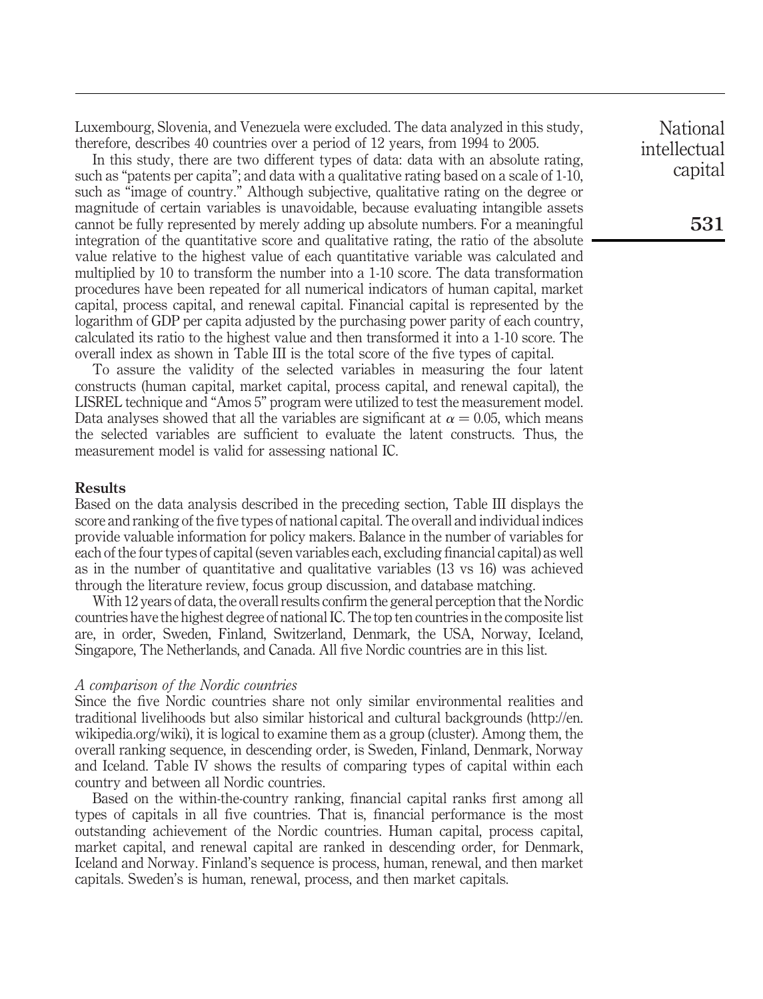Luxembourg, Slovenia, and Venezuela were excluded. The data analyzed in this study, therefore, describes 40 countries over a period of 12 years, from 1994 to 2005.

In this study, there are two different types of data: data with an absolute rating, such as "patents per capita"; and data with a qualitative rating based on a scale of 1-10, such as "image of country." Although subjective, qualitative rating on the degree or magnitude of certain variables is unavoidable, because evaluating intangible assets cannot be fully represented by merely adding up absolute numbers. For a meaningful integration of the quantitative score and qualitative rating, the ratio of the absolute value relative to the highest value of each quantitative variable was calculated and multiplied by 10 to transform the number into a 1-10 score. The data transformation procedures have been repeated for all numerical indicators of human capital, market capital, process capital, and renewal capital. Financial capital is represented by the logarithm of GDP per capita adjusted by the purchasing power parity of each country, calculated its ratio to the highest value and then transformed it into a 1-10 score. The overall index as shown in Table III is the total score of the five types of capital.

To assure the validity of the selected variables in measuring the four latent constructs (human capital, market capital, process capital, and renewal capital), the LISREL technique and "Amos 5" program were utilized to test the measurement model. Data analyses showed that all the variables are significant at  $\alpha = 0.05$ , which means the selected variables are sufficient to evaluate the latent constructs. Thus, the measurement model is valid for assessing national IC.

#### Results

Based on the data analysis described in the preceding section, Table III displays the score and ranking of the five types of national capital. The overall and individual indices provide valuable information for policy makers. Balance in the number of variables for each of the four types of capital (seven variables each, excluding financial capital) as well as in the number of quantitative and qualitative variables (13 vs 16) was achieved through the literature review, focus group discussion, and database matching.

With 12 years of data, the overall results confirm the general perception that the Nordic countries have the highest degree of national IC. The top ten countries in the composite list are, in order, Sweden, Finland, Switzerland, Denmark, the USA, Norway, Iceland, Singapore, The Netherlands, and Canada. All five Nordic countries are in this list.

#### A comparison of the Nordic countries

Since the five Nordic countries share not only similar environmental realities and traditional livelihoods but also similar historical and cultural backgrounds (http://en. wikipedia.org/wiki), it is logical to examine them as a group (cluster). Among them, the overall ranking sequence, in descending order, is Sweden, Finland, Denmark, Norway and Iceland. Table IV shows the results of comparing types of capital within each country and between all Nordic countries.

Based on the within-the-country ranking, financial capital ranks first among all types of capitals in all five countries. That is, financial performance is the most outstanding achievement of the Nordic countries. Human capital, process capital, market capital, and renewal capital are ranked in descending order, for Denmark, Iceland and Norway. Finland's sequence is process, human, renewal, and then market capitals. Sweden's is human, renewal, process, and then market capitals.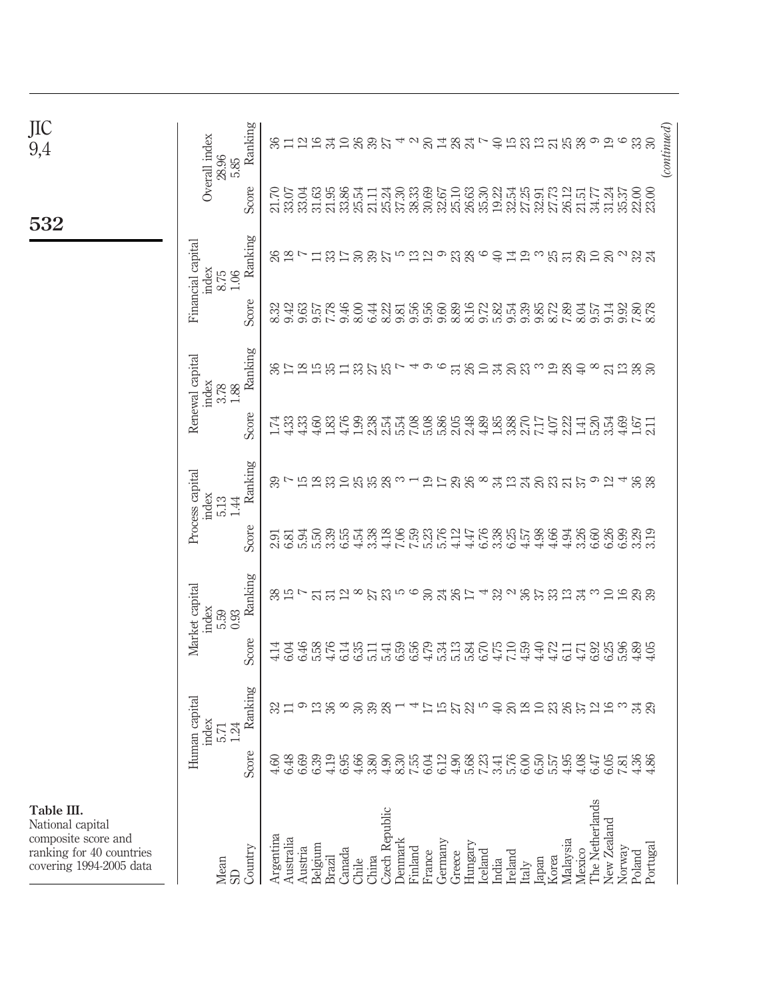| JIC<br>9,4                                                                                                   | Overall index<br>28.96<br>5.85                                  | Ranking | $\frac{26}{11}$     | $\overline{2}$ | $\frac{1}{6}$      | 24                                                                                                                                                                                                                                                                                                                                                                                                                                                       | $\supseteq$    | 885             |       |                                | 4v      |            | $\infty$                     | 1483    |                                                           |       | $\overline{ }$         | 40     | $15 \Omega$               |       | 1378                  |       |          | 38                                          | ာ        | 19          | $\circ$       | 33                          |          | (continued) |
|--------------------------------------------------------------------------------------------------------------|-----------------------------------------------------------------|---------|---------------------|----------------|--------------------|----------------------------------------------------------------------------------------------------------------------------------------------------------------------------------------------------------------------------------------------------------------------------------------------------------------------------------------------------------------------------------------------------------------------------------------------------------|----------------|-----------------|-------|--------------------------------|---------|------------|------------------------------|---------|-----------------------------------------------------------|-------|------------------------|--------|---------------------------|-------|-----------------------|-------|----------|---------------------------------------------|----------|-------------|---------------|-----------------------------|----------|-------------|
| 532                                                                                                          |                                                                 | Score   | 21.70               | 33.07<br>33.04 | 31.63              | 21.95                                                                                                                                                                                                                                                                                                                                                                                                                                                    | 33.86          | 25.54           | 21.11 | 25.24                          | 37.30   | 38.33      | 30.69                        | 32.67   | 25.10                                                     | 26.63 | 35.30                  | 19.22  | 32.54                     | 27.25 | $\frac{32.91}{27.73}$ |       | 26.12    | 21.51                                       | 34.77    | 31.24       | 35.37         |                             |          |             |
|                                                                                                              | Financial capital<br>index<br>$1.06\,$<br>8.75                  | Ranking |                     |                |                    | $\mathcal{S} \mathfrak{A} \cap \mathfrak{A} \cap \mathfrak{A} \cap \mathfrak{A} \cap \mathfrak{A} \cap \mathfrak{A} \cap \mathfrak{A} \cap \mathfrak{A} \cap \mathfrak{A} \cap \mathfrak{A} \cap \mathfrak{A} \cap \mathfrak{A} \cap \mathfrak{A} \cap \mathfrak{A} \cap \mathfrak{A} \cap \mathfrak{A} \cap \mathfrak{A} \cap \mathfrak{A} \cap \mathfrak{A} \cap \mathfrak{A} \cap \mathfrak{A} \cap \mathfrak{A} \cap \mathfrak{A} \cap \mathfrak{A}$ |                |                 |       |                                |         |            |                              |         |                                                           |       |                        | $40\,$ | 129985                    |       |                       |       |          |                                             |          |             |               | $R \supseteq R \supseteq R$ |          |             |
|                                                                                                              |                                                                 | Score   | 8.32                | 9.42           | 9.63<br>9.57       | 7.78                                                                                                                                                                                                                                                                                                                                                                                                                                                     | 9.46           | 8.00            | 6.44  | 8.22                           |         | 356<br>356 |                              | 9.60    | 8.89                                                      |       | 16<br>0003158<br>00000 |        |                           |       | 9.85<br>8.72<br>7.89  |       |          | 8.04                                        | 9.57     | 9.14        | 9.92          | 7.80                        | 8.78     |             |
|                                                                                                              | Renewal capital<br>index<br>$3.78$<br>$\underline{\phantom{0}}$ | Ranking | 361                 | $\frac{8}{2}$  | $\overline{15}$    | 55                                                                                                                                                                                                                                                                                                                                                                                                                                                       | $\Box$         | 3378            |       |                                | Ņ       |            | ာ                            | $\circ$ | 51                                                        |       | 82788                  |        |                           |       | "98                   |       |          | $\bigoplus$                                 | $\infty$ |             |               | 77.288                      |          |             |
|                                                                                                              |                                                                 | Score   | 1.74                | 4.33<br>4.33   | 4.60               | 1.83                                                                                                                                                                                                                                                                                                                                                                                                                                                     | 4.76           | 1.99            | 2.38  | 2.54                           | 5.54    | 7.08       | 5.08                         | 5.86    | 2.05                                                      | 2.48  | 4.89                   |        | $\frac{185}{3.88}$        |       | 7.17                  | 4.07  | 2.22     | $\begin{array}{c} 1.41 \\ 5.20 \end{array}$ |          | 3.54        | 4.69          | 1.67                        | 2.11     |             |
|                                                                                                              | Process capital<br>index<br>5.13<br>1.44                        | Ranking | $\frac{5}{2}$       |                |                    | $\begin{array}{c} 15 \\ 23 \end{array}$                                                                                                                                                                                                                                                                                                                                                                                                                  |                | $28880 - 1$     |       |                                |         |            | $\frac{5}{17}$               |         | $288^{\circ}$                                             |       |                        | 34     | $13 \text{ }\mathfrak{A}$ |       |                       |       |          | 8877                                        |          | 0.214       |               | $\frac{8}{38}$              |          |             |
|                                                                                                              |                                                                 | Score   | $\frac{2.91}{6.81}$ |                | 5.50<br>5.50       | 3.39                                                                                                                                                                                                                                                                                                                                                                                                                                                     |                | 6.54            | 3.38  |                                |         |            | 47888824                     |         |                                                           |       | 447633                 |        | $6.25$ $4.57$             |       | 4.98                  | 4.66  | 4.94     | $3.26$<br>$6.60$                            |          | 6.26        | 6.99          | 3.29                        | 3.19     |             |
|                                                                                                              | Market capital<br>mdex<br>5.59<br>0.93                          | Ranking | 88<br>15            |                | $\overline{21}$    | 51                                                                                                                                                                                                                                                                                                                                                                                                                                                       | $\mathfrak{p}$ | $\infty$        | 27    | $\mathbb{S}^n$ is $\mathbb{S}$ |         |            | $30\,$                       | 381     |                                                           |       | 4                      | 32     | $\mathfrak{a}$            | 36    | 532                   |       |          | 34                                          | က        | $\supseteq$ | $\frac{6}{2}$ | 29                          | 39       |             |
|                                                                                                              |                                                                 | Score   | 4.14                | 6.04           | 5.58<br>6.46       | 4.76                                                                                                                                                                                                                                                                                                                                                                                                                                                     | 6.14           | 6.35            | 5.11  | 5.41                           | 6.59    | 6.56       | 4.79                         | 5.34    | 5.13                                                      | 5.84  | 6.70                   | 4.75   | $7.10\,$                  | 4.59  | 4.40                  | 4.72  | 6.11     | 4.71                                        | 6.92     | 6.25        | 5.96          | 4.89                        | 4.05     |             |
|                                                                                                              |                                                                 | Ranking | 31                  |                |                    | 928                                                                                                                                                                                                                                                                                                                                                                                                                                                      | $\infty$       | ssaruhuna       |       |                                |         |            |                              |         |                                                           |       |                        |        |                           |       |                       |       |          |                                             |          |             |               | 82288525°38                 |          |             |
|                                                                                                              | Human capital<br>index<br>1.24<br>5.71                          | Score   | 6.9889              |                |                    |                                                                                                                                                                                                                                                                                                                                                                                                                                                          |                | 3.58888863      |       |                                |         |            |                              | 6.12    | $\mathcal{S}_{\mathcal{C}}$                               |       | 5884                   |        | $\frac{76}{3.00}$         |       | <b>Big</b>            |       |          | 99.5                                        |          | 5.05        |               | <b>E</b> & &                |          |             |
| Table III.<br>National capital<br>composite score and<br>ranking for 40 countries<br>covering 1994-2005 data | Mean<br>SD                                                      | Country | Argentina           | Australia      | Austria<br>Belgium | Brazil                                                                                                                                                                                                                                                                                                                                                                                                                                                   |                | Canada<br>Chile | China | Czech Republic                 | Denmark |            | Finland<br>France<br>Germany |         | Greece<br>Hungary<br>Leland<br>Leland<br>Leland<br>Leland |       |                        |        |                           |       | Japan                 | Korea | Malaysia | Mexico<br>The Netherlands                   |          | New Zealand | Norway        | Poland                      | Portugal |             |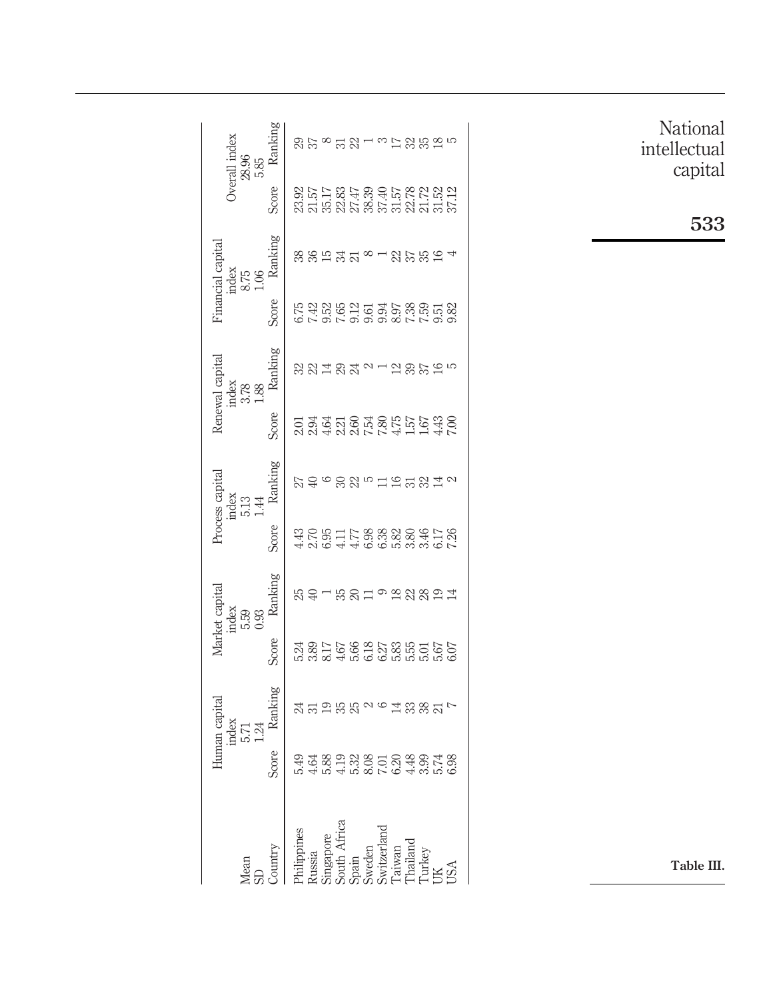|                                                                                                          | Ranking |                                                                                                                                            |  |  |  |  | 83.681313138895                                                                             |  |  |
|----------------------------------------------------------------------------------------------------------|---------|--------------------------------------------------------------------------------------------------------------------------------------------|--|--|--|--|---------------------------------------------------------------------------------------------|--|--|
| Overall index<br>28.96<br>5.85                                                                           | Score   |                                                                                                                                            |  |  |  |  | ន្ល ៤ ២ ន ម ទ ទ ម ៤ ៩ ៥ ៥ ៥ ៥<br>ខា ៥ ៥ ៥ ៥ ៥ ៥ ៥ ៥ ៥ ៥ ៥ ៥ ៥<br>ខា ៥ ៥ ៥ ៥ ៥ ៥ ៥ ៥ ៥ ៥ ៥ ៥ |  |  |
| Financial capital<br>$\begin{array}{l} \text{index} \\ 8.75 \\ 1.06 \end{array}$                         | Ranking |                                                                                                                                            |  |  |  |  |                                                                                             |  |  |
|                                                                                                          | Score   |                                                                                                                                            |  |  |  |  | 638635368658<br>6796555686558                                                               |  |  |
| Renewal capital<br>index<br>3.78<br>1.88                                                                 | Ranking |                                                                                                                                            |  |  |  |  | 32 边顶23 21 工记33 55 15 5                                                                     |  |  |
|                                                                                                          | Score   |                                                                                                                                            |  |  |  |  |                                                                                             |  |  |
| Process capital<br>index<br>5.13<br>1.44                                                                 | Ranking |                                                                                                                                            |  |  |  |  | 幻46825に14331。                                                                               |  |  |
|                                                                                                          | Score   |                                                                                                                                            |  |  |  |  | de contresses de 18<br>de contresses de 18                                                  |  |  |
| Market capital<br>$\frac{3}{11}$<br>$\frac{1}{10}$<br>$\frac{3}{10}$<br>$\frac{3}{10}$<br>$\frac{3}{10}$ | Ranking |                                                                                                                                            |  |  |  |  | 5881928823                                                                                  |  |  |
|                                                                                                          | Score   |                                                                                                                                            |  |  |  |  |                                                                                             |  |  |
| Human capital<br>index<br>5.71<br>1.24                                                                   | Ranking |                                                                                                                                            |  |  |  |  | 3525892623857                                                                               |  |  |
|                                                                                                          | Score   |                                                                                                                                            |  |  |  |  | 유효 86 음 86 응 등 86 역 86 분 86<br>19 국 19 국 19 80 등 영 국 81 명 6                                 |  |  |
| $\begin{array}{c}\n\text{Mean} \\ \text{3D} \\ \text{3D}\n\end{array}$                                   |         | Philippines<br>Russia<br>Singapore<br>Singapore<br>Sovitzerland<br>Switzerland<br>Thailand<br>Thailand<br>Thailand<br>Thailand<br>Thailand |  |  |  |  |                                                                                             |  |  |

National intellectual capital

533

Table III.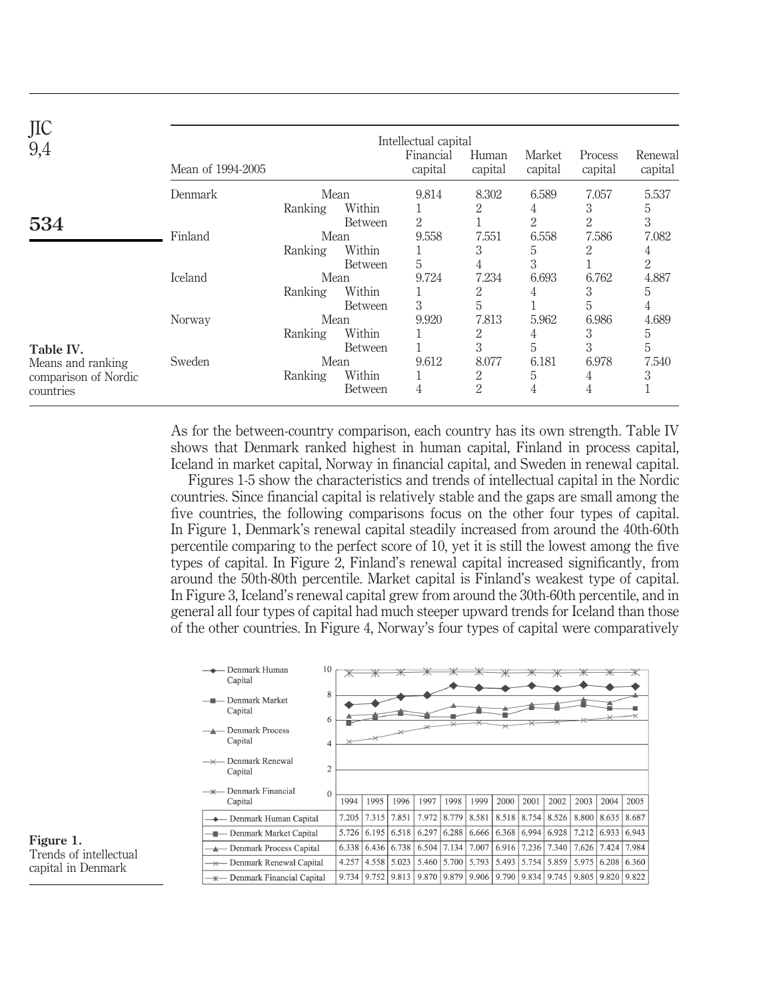| JIC                                                    |                   |         |                           |                                              |                              |                   |                    |                    |
|--------------------------------------------------------|-------------------|---------|---------------------------|----------------------------------------------|------------------------------|-------------------|--------------------|--------------------|
| 9,4                                                    | Mean of 1994-2005 |         |                           | Intellectual capital<br>Financial<br>capital | Human<br>capital             | Market<br>capital | Process<br>capital | Renewal<br>capital |
|                                                        | Denmark           | Ranking | Mean<br>Within            | 9.814                                        | 8.302<br>2                   | 6.589<br>4        | 7.057<br>3         | 5.537<br>5         |
| 534                                                    | Finland           |         | Between<br>Mean           | 2<br>9.558                                   | 7.551                        | 2<br>6.558        | 2<br>7.586         | 3<br>7.082         |
|                                                        |                   | Ranking | Within<br>Between         | 5                                            | 3<br>4                       | 5<br>3            | 2                  | 4<br>2             |
|                                                        | Iceland           | Ranking | Mean<br>Within            | 9.724                                        | 7.234<br>2                   | 6.693<br>4        | 6.762<br>3         | 4.887<br>5         |
|                                                        | Norway            |         | <b>Between</b><br>Mean    | 3<br>9.920                                   | 5<br>7.813                   | 5.962             | 5<br>6.986         | 4<br>4.689         |
| Table IV.                                              |                   | Ranking | Within<br><b>Between</b>  |                                              | 2<br>3                       | 4<br>5            | 3<br>3             | 5<br>5             |
| Means and ranking<br>comparison of Nordic<br>countries | Sweden            | Ranking | Mean<br>Within<br>Between | 9.612<br>4                                   | 8.077<br>2<br>$\overline{2}$ | 6.181<br>5<br>4   | 6.978<br>4<br>4    | 7.540<br>3         |

As for the between-country comparison, each country has its own strength. Table IV shows that Denmark ranked highest in human capital, Finland in process capital, Iceland in market capital, Norway in financial capital, and Sweden in renewal capital.

Figures 1-5 show the characteristics and trends of intellectual capital in the Nordic countries. Since financial capital is relatively stable and the gaps are small among the five countries, the following comparisons focus on the other four types of capital. In Figure 1, Denmark's renewal capital steadily increased from around the 40th-60th percentile comparing to the perfect score of 10, yet it is still the lowest among the five types of capital. In Figure 2, Finland's renewal capital increased significantly, from around the 50th-80th percentile. Market capital is Finland's weakest type of capital. In Figure 3, Iceland's renewal capital grew from around the 30th-60th percentile, and in general all four types of capital had much steeper upward trends for Iceland than those of the other countries. In Figure 4, Norway's four types of capital were comparatively

| Denmark Human                                           | 10             |       |       |       |       |       |       |       |               |       |       |       |       |
|---------------------------------------------------------|----------------|-------|-------|-------|-------|-------|-------|-------|---------------|-------|-------|-------|-------|
| Capital<br>Denmark Market<br>Capital<br>Denmark Process | 8<br>6         |       |       |       |       |       |       |       |               |       |       |       |       |
| Capital<br>Denmark Renewal                              | 4              |       |       |       |       |       |       |       |               |       |       |       |       |
| Capital                                                 | $\overline{c}$ |       |       |       |       |       |       |       |               |       |       |       |       |
| Denmark Financial<br>Capital                            | $\theta$       | 1994  | 1995  | 1996  | 1997  | 1998  | 1999  | 2000  | 2001          | 2002  | 2003  | 2004  | 2005  |
| ← Denmark Human Capital                                 |                | 7.205 | 7.315 | 7.851 | 7.972 | 8.779 | 8.581 |       | 8.518   8.754 | 8.526 | 8.800 | 8.635 | 8.687 |
| - Denmark Market Capital                                |                | 5.726 | 6.195 | 6.518 | 6.297 | 6.288 | 6.666 |       | $6.368$ 6.994 | 6.928 | 7.212 | 6.933 | 6.943 |
| Denmark Process Capital                                 |                | 6.338 | 6.436 | 6.738 | 6.504 | 7.134 | 7.007 |       | 6.916 7.236   | 7.340 | 7.626 | 7.424 | 7.984 |
| $\rightarrow$ Denmark Renewal Capital                   |                | 4.257 | 4.558 | 5.023 | 5.460 | 5.700 | 5.793 | 5.493 | 5.754         | 5.859 | 5.975 | 6.208 | 6.360 |
| * Denmark Financial Capital                             |                | 9.734 | 9.752 | 9.813 | 9.870 | 9.879 | 9.906 | 9.790 | 9.834         | 9.745 | 9.805 | 9.820 | 9.822 |

Figure 1. Trends of intellectual capital in Denmark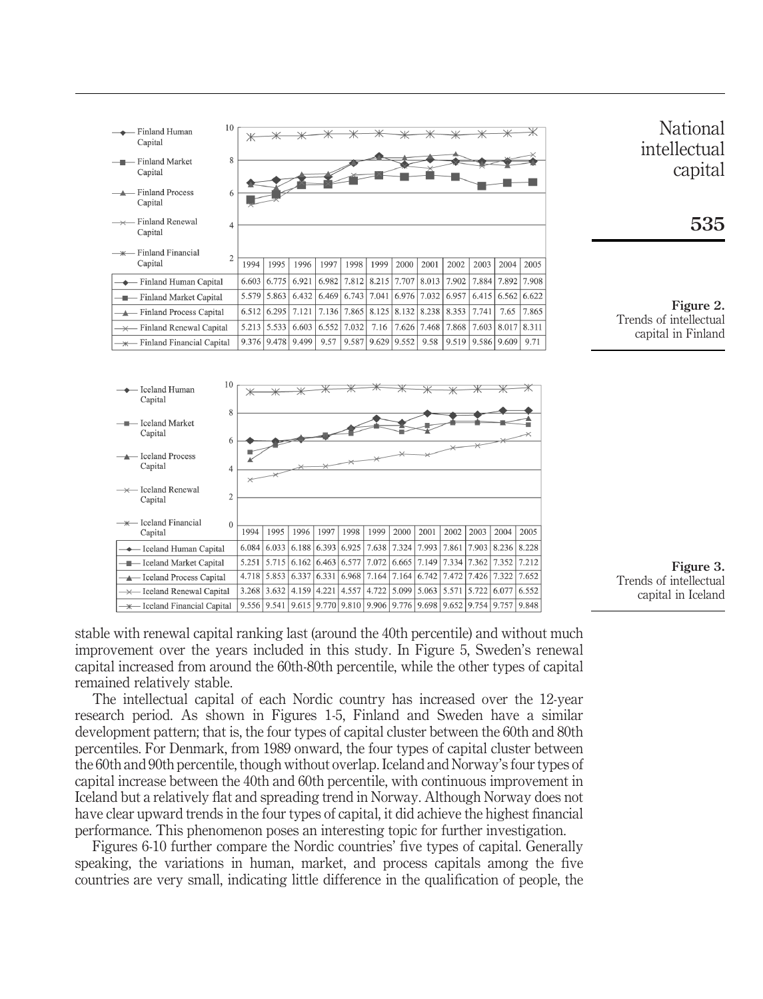

stable with renewal capital ranking last (around the 40th percentile) and without much improvement over the years included in this study. In Figure 5, Sweden's renewal capital increased from around the 60th-80th percentile, while the other types of capital remained relatively stable.

The intellectual capital of each Nordic country has increased over the 12-year research period. As shown in Figures 1-5, Finland and Sweden have a similar development pattern; that is, the four types of capital cluster between the 60th and 80th percentiles. For Denmark, from 1989 onward, the four types of capital cluster between the 60th and 90th percentile, though without overlap. Iceland and Norway's four types of capital increase between the 40th and 60th percentile, with continuous improvement in Iceland but a relatively flat and spreading trend in Norway. Although Norway does not have clear upward trends in the four types of capital, it did achieve the highest financial performance. This phenomenon poses an interesting topic for further investigation.

Figures 6-10 further compare the Nordic countries' five types of capital. Generally speaking, the variations in human, market, and process capitals among the five countries are very small, indicating little difference in the qualification of people, the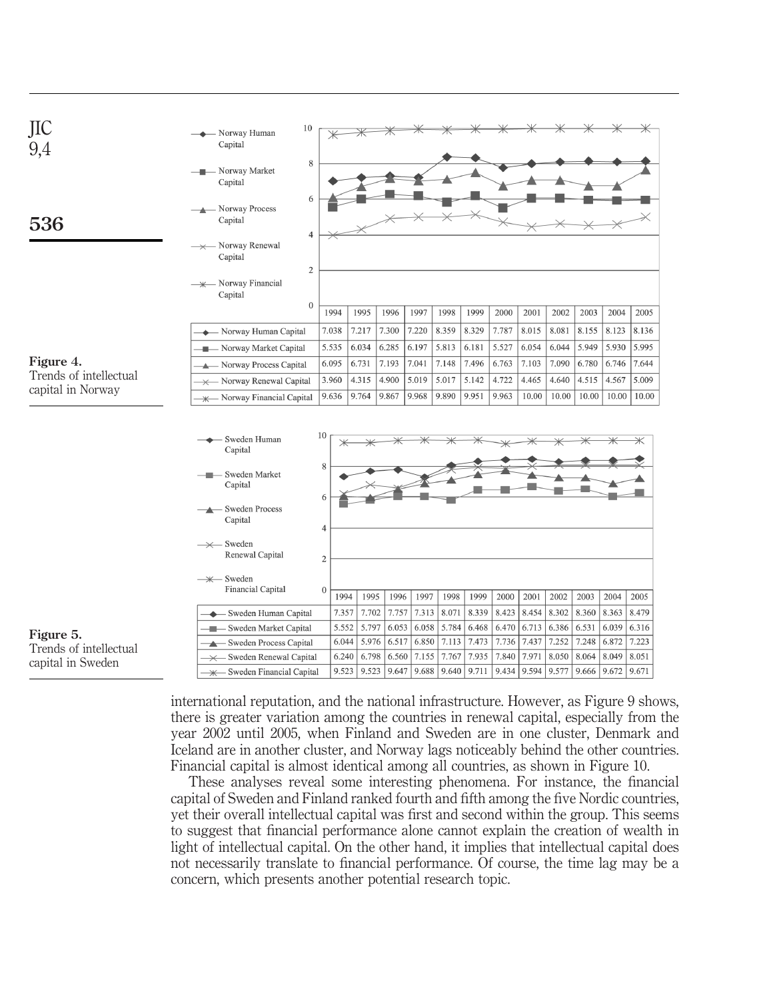

international reputation, and the national infrastructure. However, as Figure 9 shows, there is greater variation among the countries in renewal capital, especially from the year 2002 until 2005, when Finland and Sweden are in one cluster, Denmark and Iceland are in another cluster, and Norway lags noticeably behind the other countries. Financial capital is almost identical among all countries, as shown in Figure 10.

These analyses reveal some interesting phenomena. For instance, the financial capital of Sweden and Finland ranked fourth and fifth among the five Nordic countries, yet their overall intellectual capital was first and second within the group. This seems to suggest that financial performance alone cannot explain the creation of wealth in light of intellectual capital. On the other hand, it implies that intellectual capital does not necessarily translate to financial performance. Of course, the time lag may be a concern, which presents another potential research topic.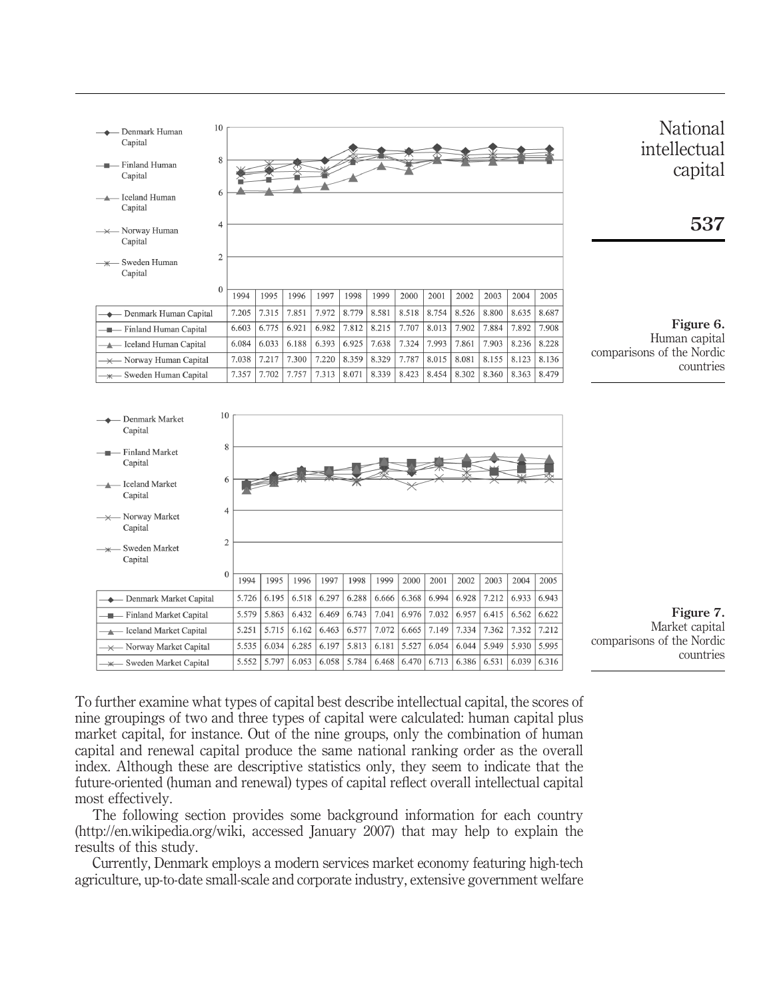| 10<br>Denmark Human<br>Capital<br>Finland Human<br>Capital<br><b>Iceland Human</b> | 8<br>6         |       |       |       |       |       |       |       |       |       |       |                         |       | National<br>intellectual<br>capital    |
|------------------------------------------------------------------------------------|----------------|-------|-------|-------|-------|-------|-------|-------|-------|-------|-------|-------------------------|-------|----------------------------------------|
| Capital<br>$\rightarrow$ Norway Human                                              |                |       |       |       |       |       |       |       |       |       |       |                         |       | 537                                    |
| Capital<br>Capital                                                                 | $\overline{2}$ |       |       |       |       |       |       |       |       |       |       |                         |       |                                        |
|                                                                                    | $\theta$       | 1994  | 1995  | 1996  | 1997  | 1998  | 1999  | 2000  | 2001  | 2002  | 2003  | 2004                    | 2005  |                                        |
| Denmark Human Capital                                                              |                | 7.205 | 7.315 | 7.851 | 7.972 | 8.779 | 8.581 | 8.518 | 8.754 | 8.526 | 8.800 | 8.635                   | 8.687 |                                        |
| - Finland Human Capital                                                            |                | 6.603 | 6.775 | 6.921 | 6.982 | 7.812 | 8.215 | 7.707 | 8.013 | 7.902 | 7.884 | 7.892                   | 7.908 | Figure 6.                              |
| $\triangle$ Iceland Human Capital                                                  |                | 6.084 | 6.033 | 6.188 | 6.393 | 6.925 | 7.638 | 7.324 | 7.993 | 7.861 | 7.903 | 8.236                   | 8.228 | Human capital                          |
| $\rightarrow$ Norway Human Capital                                                 |                | 7.038 | 7.217 | 7.300 | 7.220 | 8.359 | 8.329 | 7.787 | 8.015 | 8.081 | 8.155 | 8.123                   | 8.136 | comparisons of the Nordic<br>countries |
| - Sweden Human Capital                                                             |                | 7.357 | 7.702 | 7.757 | 7.313 | 8.071 | 8.339 | 8.423 | 8.454 | 8.302 |       | $8.360$   8.363   8.479 |       |                                        |





Figure 7. Market capital comparisons of the Nordic countries

To further examine what types of capital best describe intellectual capital, the scores of nine groupings of two and three types of capital were calculated: human capital plus market capital, for instance. Out of the nine groups, only the combination of human capital and renewal capital produce the same national ranking order as the overall index. Although these are descriptive statistics only, they seem to indicate that the future-oriented (human and renewal) types of capital reflect overall intellectual capital most effectively.

The following section provides some background information for each country (http://en.wikipedia.org/wiki, accessed January 2007) that may help to explain the results of this study.

Currently, Denmark employs a modern services market economy featuring high-tech agriculture, up-to-date small-scale and corporate industry, extensive government welfare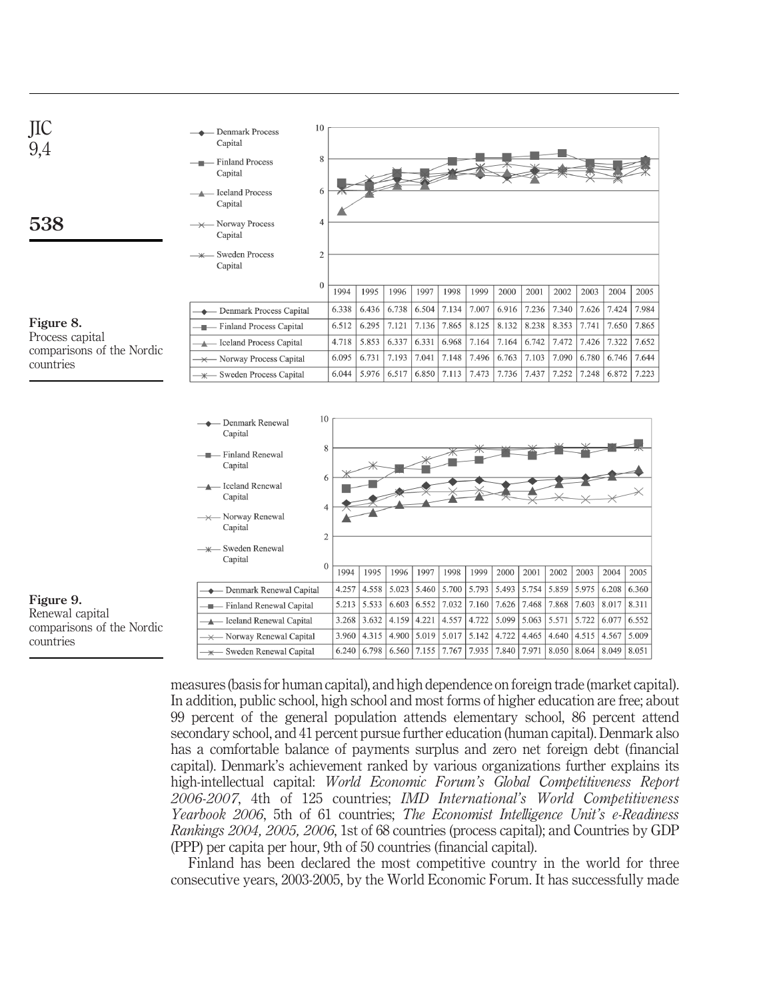



### Figure 9. Renewal capital comparisons of the Nordic countries

JIC 9,4

538

measures (basis for human capital), and high dependence on foreign trade (market capital). In addition, public school, high school and most forms of higher education are free; about 99 percent of the general population attends elementary school, 86 percent attend secondary school, and 41 percent pursue further education (human capital). Denmark also has a comfortable balance of payments surplus and zero net foreign debt (financial capital). Denmark's achievement ranked by various organizations further explains its high-intellectual capital: World Economic Forum's Global Competitiveness Report 2006-2007, 4th of 125 countries; IMD International's World Competitiveness Yearbook 2006, 5th of 61 countries; The Economist Intelligence Unit's e-Readiness Rankings 2004, 2005, 2006, 1st of 68 countries (process capital); and Countries by GDP (PPP) per capita per hour, 9th of 50 countries (financial capital).

Finland has been declared the most competitive country in the world for three consecutive years, 2003-2005, by the World Economic Forum. It has successfully made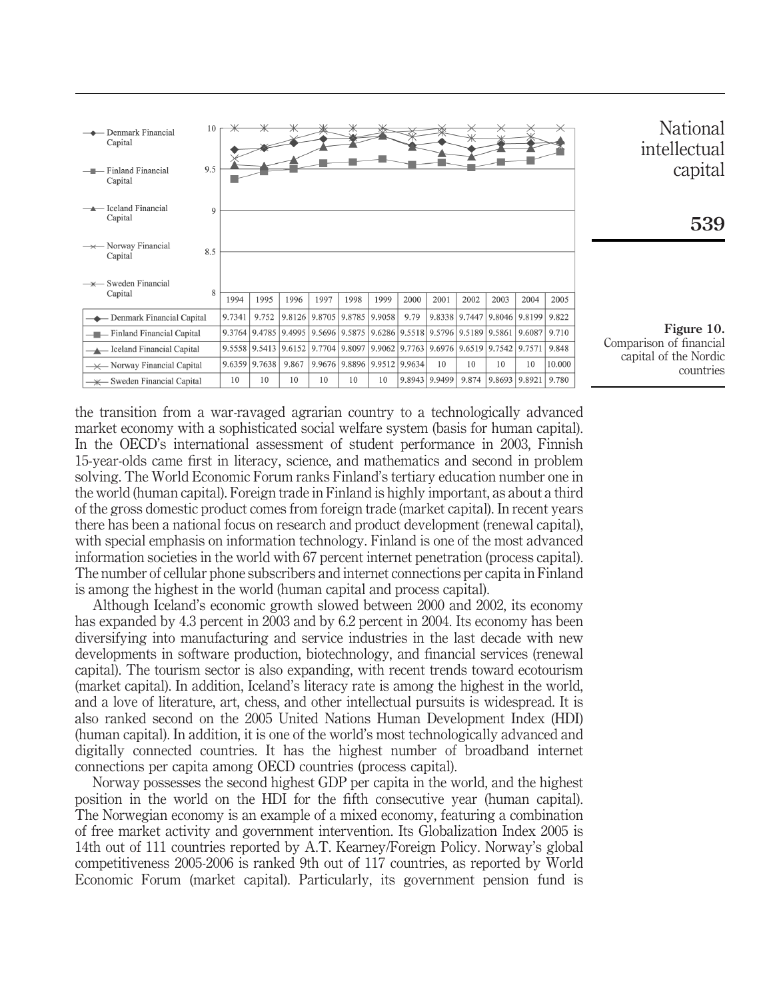

the transition from a war-ravaged agrarian country to a technologically advanced market economy with a sophisticated social welfare system (basis for human capital). In the OECD's international assessment of student performance in 2003, Finnish 15-year-olds came first in literacy, science, and mathematics and second in problem solving. The World Economic Forum ranks Finland's tertiary education number one in the world (human capital). Foreign trade in Finland is highly important, as about a third of the gross domestic product comes from foreign trade (market capital). In recent years there has been a national focus on research and product development (renewal capital), with special emphasis on information technology. Finland is one of the most advanced information societies in the world with 67 percent internet penetration (process capital). The number of cellular phone subscribers and internet connections per capita in Finland is among the highest in the world (human capital and process capital).

Although Iceland's economic growth slowed between 2000 and 2002, its economy has expanded by 4.3 percent in 2003 and by 6.2 percent in 2004. Its economy has been diversifying into manufacturing and service industries in the last decade with new developments in software production, biotechnology, and financial services (renewal capital). The tourism sector is also expanding, with recent trends toward ecotourism (market capital). In addition, Iceland's literacy rate is among the highest in the world, and a love of literature, art, chess, and other intellectual pursuits is widespread. It is also ranked second on the 2005 United Nations Human Development Index (HDI) (human capital). In addition, it is one of the world's most technologically advanced and digitally connected countries. It has the highest number of broadband internet connections per capita among OECD countries (process capital).

Norway possesses the second highest GDP per capita in the world, and the highest position in the world on the HDI for the fifth consecutive year (human capital). The Norwegian economy is an example of a mixed economy, featuring a combination of free market activity and government intervention. Its Globalization Index 2005 is 14th out of 111 countries reported by A.T. Kearney/Foreign Policy. Norway's global competitiveness 2005-2006 is ranked 9th out of 117 countries, as reported by World Economic Forum (market capital). Particularly, its government pension fund is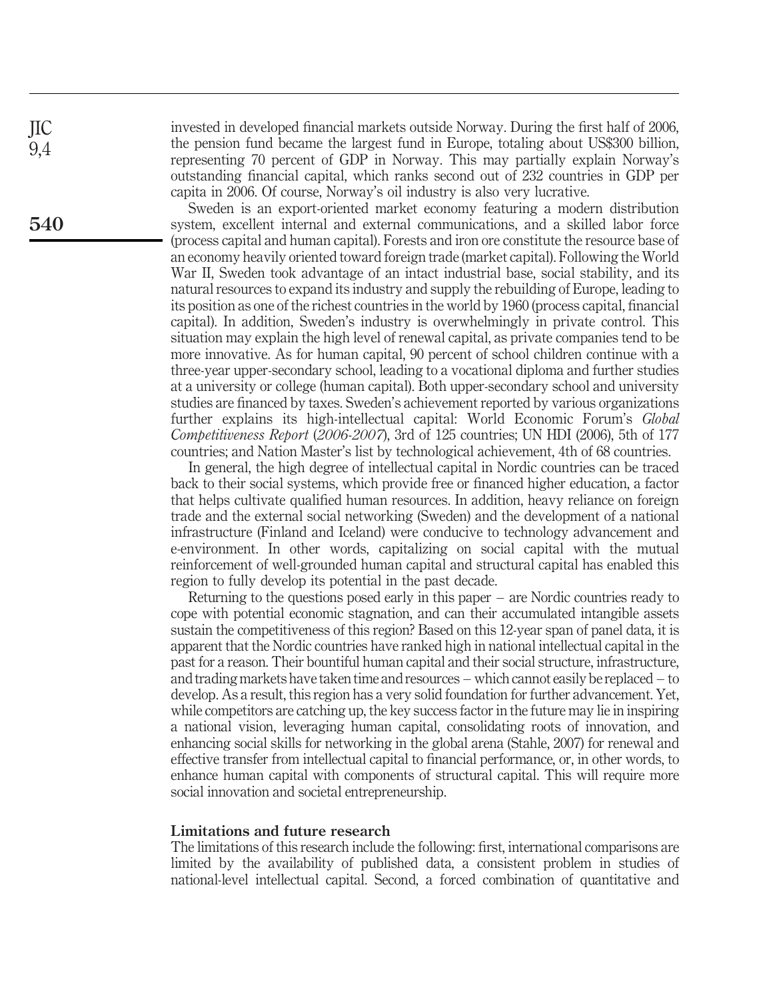invested in developed financial markets outside Norway. During the first half of 2006, the pension fund became the largest fund in Europe, totaling about US\$300 billion, representing 70 percent of GDP in Norway. This may partially explain Norway's outstanding financial capital, which ranks second out of 232 countries in GDP per capita in 2006. Of course, Norway's oil industry is also very lucrative.

Sweden is an export-oriented market economy featuring a modern distribution system, excellent internal and external communications, and a skilled labor force (process capital and human capital). Forests and iron ore constitute the resource base of an economy heavily oriented toward foreign trade (market capital). Following the World War II, Sweden took advantage of an intact industrial base, social stability, and its natural resources to expand its industry and supply the rebuilding of Europe, leading to its position as one of the richest countries in the world by 1960 (process capital, financial capital). In addition, Sweden's industry is overwhelmingly in private control. This situation may explain the high level of renewal capital, as private companies tend to be more innovative. As for human capital, 90 percent of school children continue with a three-year upper-secondary school, leading to a vocational diploma and further studies at a university or college (human capital). Both upper-secondary school and university studies are financed by taxes. Sweden's achievement reported by various organizations further explains its high-intellectual capital: World Economic Forum's Global Competitiveness Report (2006-2007), 3rd of 125 countries; UN HDI (2006), 5th of 177 countries; and Nation Master's list by technological achievement, 4th of 68 countries.

In general, the high degree of intellectual capital in Nordic countries can be traced back to their social systems, which provide free or financed higher education, a factor that helps cultivate qualified human resources. In addition, heavy reliance on foreign trade and the external social networking (Sweden) and the development of a national infrastructure (Finland and Iceland) were conducive to technology advancement and e-environment. In other words, capitalizing on social capital with the mutual reinforcement of well-grounded human capital and structural capital has enabled this region to fully develop its potential in the past decade.

Returning to the questions posed early in this paper – are Nordic countries ready to cope with potential economic stagnation, and can their accumulated intangible assets sustain the competitiveness of this region? Based on this 12-year span of panel data, it is apparent that the Nordic countries have ranked high in national intellectual capital in the past for a reason. Their bountiful human capital and their social structure, infrastructure, and trading markets have taken time and resources – which cannot easily be replaced – to develop. As a result, this region has a very solid foundation for further advancement. Yet, while competitors are catching up, the key success factor in the future may lie in inspiring a national vision, leveraging human capital, consolidating roots of innovation, and enhancing social skills for networking in the global arena (Stahle, 2007) for renewal and effective transfer from intellectual capital to financial performance, or, in other words, to enhance human capital with components of structural capital. This will require more social innovation and societal entrepreneurship.

#### Limitations and future research

The limitations of this research include the following: first, international comparisons are limited by the availability of published data, a consistent problem in studies of national-level intellectual capital. Second, a forced combination of quantitative and

540

JIC 9,4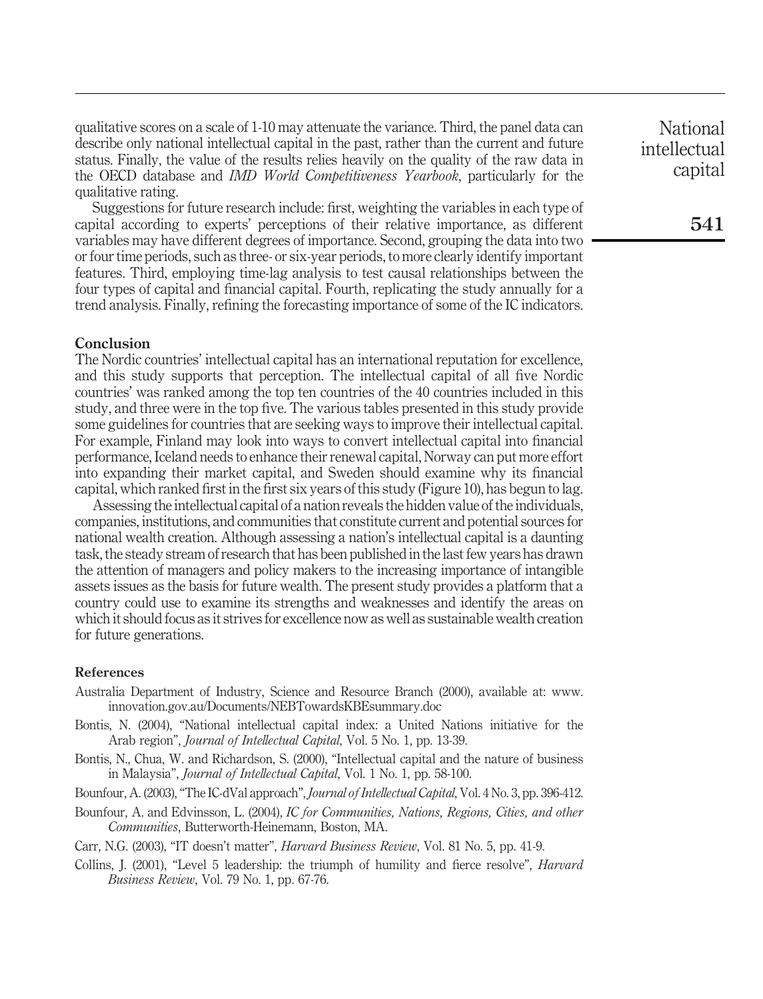qualitative scores on a scale of 1-10 may attenuate the variance. Third, the panel data can describe only national intellectual capital in the past, rather than the current and future status. Finally, the value of the results relies heavily on the quality of the raw data in the OECD database and IMD World Competitiveness Yearbook, particularly for the qualitative rating.

Suggestions for future research include: first, weighting the variables in each type of capital according to experts' perceptions of their relative importance, as different variables may have different degrees of importance. Second, grouping the data into two or four time periods, such as three- or six-year periods, to more clearly identify important features. Third, employing time-lag analysis to test causal relationships between the four types of capital and financial capital. Fourth, replicating the study annually for a trend analysis. Finally, refining the forecasting importance of some of the IC indicators.

#### **Conclusion**

The Nordic countries' intellectual capital has an international reputation for excellence, and this study supports that perception. The intellectual capital of all five Nordic countries' was ranked among the top ten countries of the 40 countries included in this study, and three were in the top five. The various tables presented in this study provide some guidelines for countries that are seeking ways to improve their intellectual capital. For example, Finland may look into ways to convert intellectual capital into financial performance, Iceland needs to enhance their renewal capital, Norway can put more effort into expanding their market capital, and Sweden should examine why its financial capital, which ranked first in the first six years of this study (Figure 10), has begun to lag.

Assessing the intellectual capital of a nation reveals the hidden value of the individuals, companies, institutions, and communities that constitute current and potential sources for national wealth creation. Although assessing a nation's intellectual capital is a daunting task, the steady stream of research that has been published in the last few years has drawn the attention of managers and policy makers to the increasing importance of intangible assets issues as the basis for future wealth. The present study provides a platform that a country could use to examine its strengths and weaknesses and identify the areas on which it should focus as it strives for excellence now as well as sustainable wealth creation for future generations.

#### References

- Australia Department of Industry, Science and Resource Branch (2000), available at: www. innovation.gov.au/Documents/NEBTowardsKBEsummary.doc
- Bontis, N. (2004), "National intellectual capital index: a United Nations initiative for the Arab region", *Journal of Intellectual Capital*, Vol. 5 No. 1, pp. 13-39.
- Bontis, N., Chua, W. and Richardson, S. (2000), "Intellectual capital and the nature of business in Malaysia", Journal of Intellectual Capital, Vol. 1 No. 1, pp. 58-100.
- Bounfour, A. (2003), "The IC-dVal approach", Journal of Intellectual Capital, Vol. 4 No. 3, pp. 396-412.
- Bounfour, A. and Edvinsson, L. (2004), IC for Communities, Nations, Regions, Cities, and other Communities, Butterworth-Heinemann, Boston, MA.

Carr, N.G. (2003), "IT doesn't matter", Harvard Business Review, Vol. 81 No. 5, pp. 41-9.

Collins, J. (2001), "Level 5 leadership: the triumph of humility and fierce resolve", Harvard Business Review, Vol. 79 No. 1, pp. 67-76.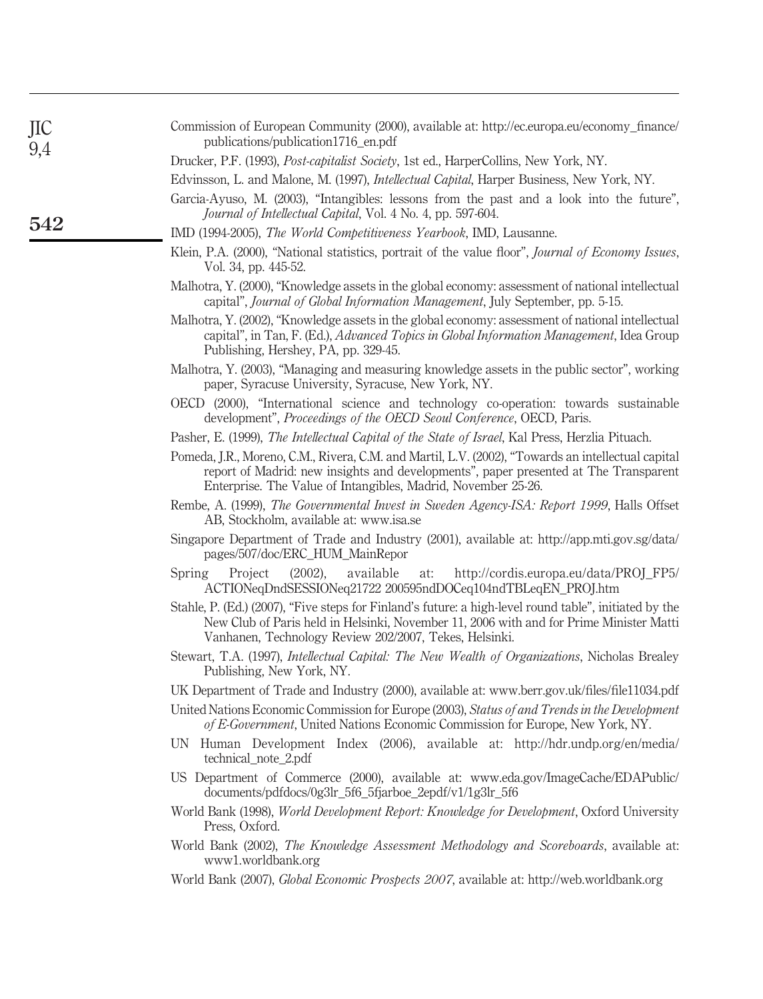| JIC<br>9,4 | Commission of European Community (2000), available at: http://ec.europa.eu/economy finance/<br>publications/publication1716 en.pdf |
|------------|------------------------------------------------------------------------------------------------------------------------------------|
|            | Drucker, P.F. (1993), <i>Post-capitalist Society</i> , 1st ed., HarperCollins, New York, NY.                                       |
|            | Edvinsson, L. and Malone, M. (1997), <i>Intellectual Capital</i> , Harper Business, New York, NY.                                  |
|            | Garcia-Ayuso, M. (2003), "Intangibles: lessons from the past and a look into the future".                                          |
|            | <i>Iournal of Intellectual Capital.</i> Vol. 4 No. 4, pp. 597-604.                                                                 |

542

IMD (1994-2005), The World Competitiveness Yearbook, IMD, Lausanne.

Klein, P.A. (2000), "National statistics, portrait of the value floor", *Journal of Economy Issues*, Vol. 34, pp. 445-52.

Malhotra, Y. (2000), "Knowledge assets in the global economy: assessment of national intellectual capital", Journal of Global Information Management, July September, pp. 5-15.

- Malhotra, Y. (2002), "Knowledge assets in the global economy: assessment of national intellectual capital", in Tan, F. (Ed.), Advanced Topics in Global Information Management, Idea Group Publishing, Hershey, PA, pp. 329-45.
- Malhotra, Y. (2003), "Managing and measuring knowledge assets in the public sector", working paper, Syracuse University, Syracuse, New York, NY.
- OECD (2000), "International science and technology co-operation: towards sustainable development", Proceedings of the OECD Seoul Conference, OECD, Paris.
- Pasher, E. (1999), The Intellectual Capital of the State of Israel, Kal Press, Herzlia Pituach.
- Pomeda, J.R., Moreno, C.M., Rivera, C.M. and Martil, L.V. (2002), "Towards an intellectual capital report of Madrid: new insights and developments", paper presented at The Transparent Enterprise. The Value of Intangibles, Madrid, November 25-26.
- Rembe, A. (1999), The Governmental Invest in Sweden Agency-ISA: Report 1999, Halls Offset AB, Stockholm, available at: www.isa.se
- Singapore Department of Trade and Industry (2001), available at: http://app.mti.gov.sg/data/ pages/507/doc/ERC\_HUM\_MainRepor
- Spring Project (2002), available at: http://cordis.europa.eu/data/PROJ\_FP5/ ACTIONeqDndSESSIONeq21722 200595ndDOCeq104ndTBLeqEN\_PROJ.htm
- Stahle, P. (Ed.) (2007), "Five steps for Finland's future: a high-level round table", initiated by the New Club of Paris held in Helsinki, November 11, 2006 with and for Prime Minister Matti Vanhanen, Technology Review 202/2007, Tekes, Helsinki.
- Stewart, T.A. (1997), Intellectual Capital: The New Wealth of Organizations, Nicholas Brealey Publishing, New York, NY.
- UK Department of Trade and Industry (2000), available at: www.berr.gov.uk/files/file11034.pdf
- United Nations Economic Commission for Europe (2003), Status of and Trends in the Development of E-Government, United Nations Economic Commission for Europe, New York, NY.
- UN Human Development Index (2006), available at: http://hdr.undp.org/en/media/ technical\_note\_2.pdf
- US Department of Commerce (2000), available at: www.eda.gov/ImageCache/EDAPublic/ documents/pdfdocs/0g3lr\_5f6\_5fjarboe\_2epdf/v1/1g3lr\_5f6
- World Bank (1998), World Development Report: Knowledge for Development, Oxford University Press, Oxford.
- World Bank (2002), The Knowledge Assessment Methodology and Scoreboards, available at: www1.worldbank.org
- World Bank (2007), Global Economic Prospects 2007, available at: http://web.worldbank.org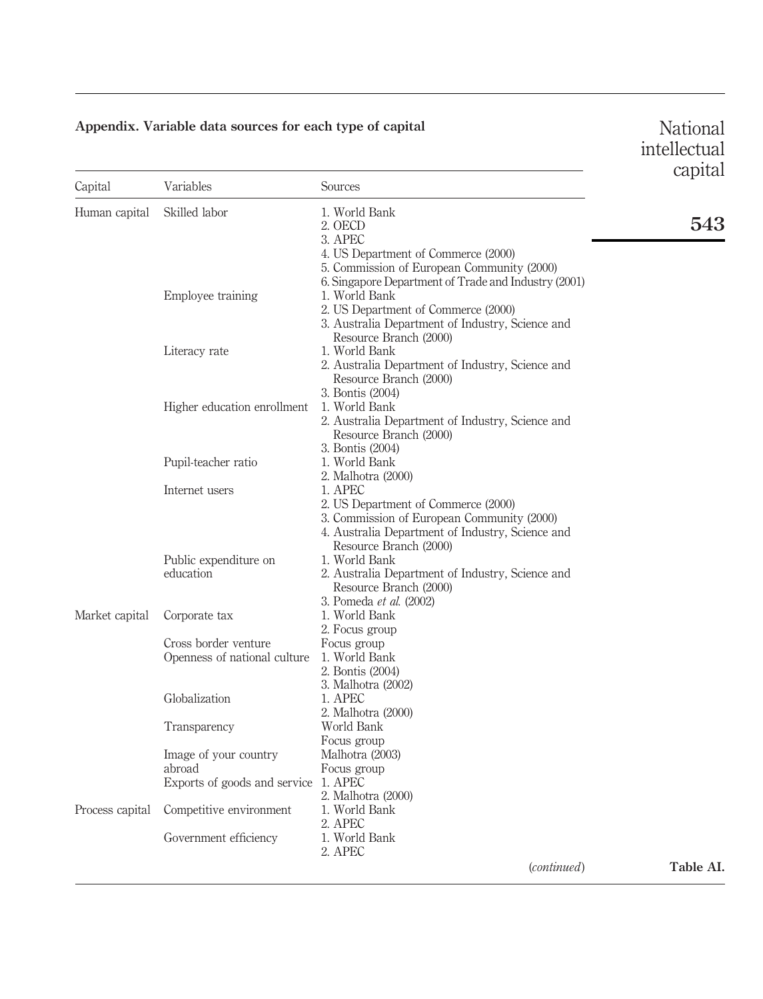# Appendix. Variable data sources for each type of capital

| Capital         | Variables                                                               | Sources                                                                                                                                          |           |
|-----------------|-------------------------------------------------------------------------|--------------------------------------------------------------------------------------------------------------------------------------------------|-----------|
| Human capital   | Skilled labor                                                           | 1. World Bank<br>2. OECD<br>3. APEC                                                                                                              | 543       |
|                 |                                                                         | 4. US Department of Commerce (2000)<br>5. Commission of European Community (2000)                                                                |           |
|                 | Employee training                                                       | 6. Singapore Department of Trade and Industry (2001)<br>1. World Bank<br>2. US Department of Commerce (2000)                                     |           |
|                 | Literacy rate                                                           | 3. Australia Department of Industry, Science and<br>Resource Branch (2000)<br>1. World Bank                                                      |           |
|                 |                                                                         | 2. Australia Department of Industry, Science and<br>Resource Branch (2000)                                                                       |           |
|                 | Higher education enrollment                                             | 3. Bontis (2004)<br>1. World Bank<br>2. Australia Department of Industry, Science and<br>Resource Branch (2000)                                  |           |
|                 | Pupil-teacher ratio                                                     | 3. Bontis (2004)<br>1. World Bank<br>2. Malhotra (2000)                                                                                          |           |
|                 | Internet users                                                          | 1. APEC<br>2. US Department of Commerce (2000)<br>3. Commission of European Community (2000)<br>4. Australia Department of Industry, Science and |           |
|                 | Public expenditure on<br>education                                      | Resource Branch (2000)<br>1. World Bank<br>2. Australia Department of Industry, Science and<br>Resource Branch (2000)                            |           |
| Market capital  | Corporate tax                                                           | 3. Pomeda et al. (2002)<br>1. World Bank<br>2. Focus group                                                                                       |           |
|                 | Cross border venture<br>Openness of national culture                    | Focus group<br>1. World Bank<br>2. Bontis (2004)                                                                                                 |           |
|                 | Globalization                                                           | 3. Malhotra (2002)<br>1. APEC<br>2. Malhotra (2000)                                                                                              |           |
|                 | Transparency                                                            | World Bank                                                                                                                                       |           |
|                 | Image of your country<br>abroad<br>Exports of goods and service 1. APEC | Focus group<br>Malhotra (2003)<br>Focus group                                                                                                    |           |
| Process capital | Competitive environment                                                 | 2. Malhotra (2000)<br>1. World Bank<br>2. APEC                                                                                                   |           |
|                 | Government efficiency                                                   | 1. World Bank<br>2. APEC                                                                                                                         |           |
|                 |                                                                         | ( <i>continued</i> )                                                                                                                             | Table AI. |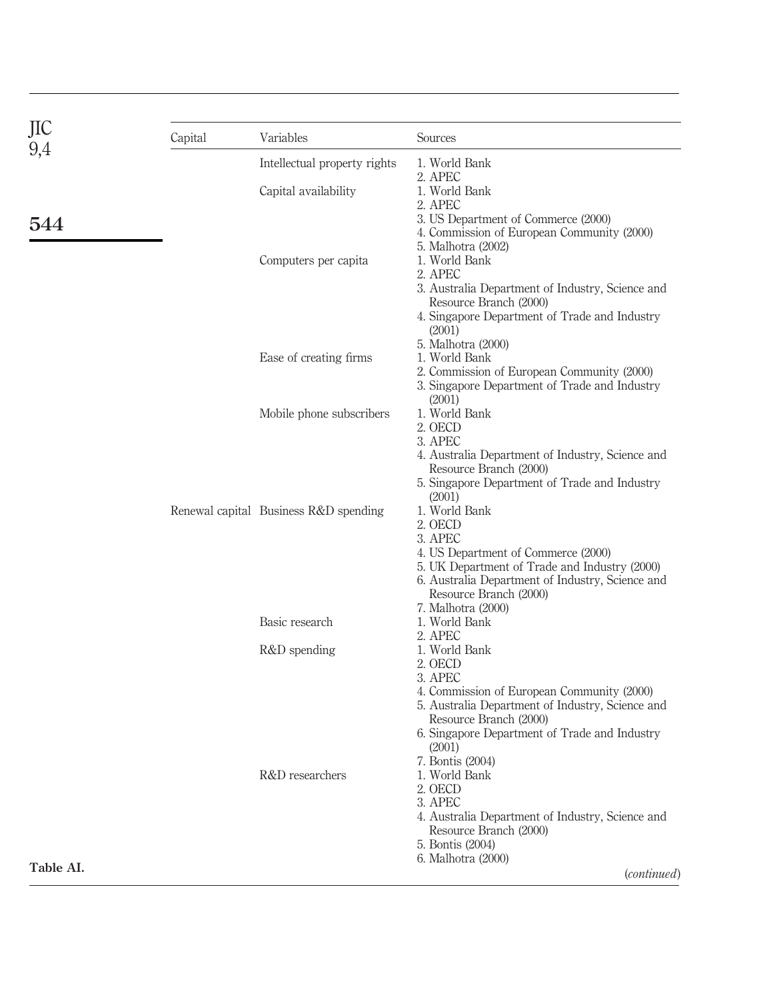| JIC<br>9,4 | Capital | Variables                             | Sources                                                                                                                                                                                                                                                                                                                                                                           |
|------------|---------|---------------------------------------|-----------------------------------------------------------------------------------------------------------------------------------------------------------------------------------------------------------------------------------------------------------------------------------------------------------------------------------------------------------------------------------|
|            |         | Intellectual property rights          | 1. World Bank<br>2. APEC                                                                                                                                                                                                                                                                                                                                                          |
|            |         | Capital availability                  | 1. World Bank<br>2. APEC                                                                                                                                                                                                                                                                                                                                                          |
| 544        |         | Computers per capita                  | 3. US Department of Commerce (2000)<br>4. Commission of European Community (2000)<br>5. Malhotra (2002)<br>1. World Bank<br>2. APEC                                                                                                                                                                                                                                               |
|            |         | Ease of creating firms                | 3. Australia Department of Industry, Science and<br>Resource Branch (2000)<br>4. Singapore Department of Trade and Industry<br>(2001)<br>5. Malhotra (2000)<br>1. World Bank<br>2. Commission of European Community (2000)<br>3. Singapore Department of Trade and Industry                                                                                                       |
|            |         | Mobile phone subscribers              | (2001)<br>1. World Bank<br>2. OECD                                                                                                                                                                                                                                                                                                                                                |
|            |         | Renewal capital Business R&D spending | 3. APEC<br>4. Australia Department of Industry, Science and<br>Resource Branch (2000)<br>5. Singapore Department of Trade and Industry<br>(2001)<br>1. World Bank<br>2. OECD<br>3. APEC<br>4. US Department of Commerce (2000)<br>5. UK Department of Trade and Industry (2000)<br>6. Australia Department of Industry, Science and<br>Resource Branch (2000)                     |
|            |         | Basic research                        | 7. Malhotra (2000)<br>1. World Bank<br>2. APEC                                                                                                                                                                                                                                                                                                                                    |
|            |         | R&D spending                          | 1. World Bank<br>2. OECD                                                                                                                                                                                                                                                                                                                                                          |
|            |         | R&D researchers                       | 3. APEC<br>4. Commission of European Community (2000)<br>5. Australia Department of Industry, Science and<br>Resource Branch (2000)<br>6. Singapore Department of Trade and Industry<br>(2001)<br>7. Bontis (2004)<br>1. World Bank<br>2. OECD<br>3. APEC<br>4. Australia Department of Industry, Science and<br>Resource Branch (2000)<br>5. Bontis (2004)<br>6. Malhotra (2000) |
| Table AI.  |         |                                       | (continued)                                                                                                                                                                                                                                                                                                                                                                       |